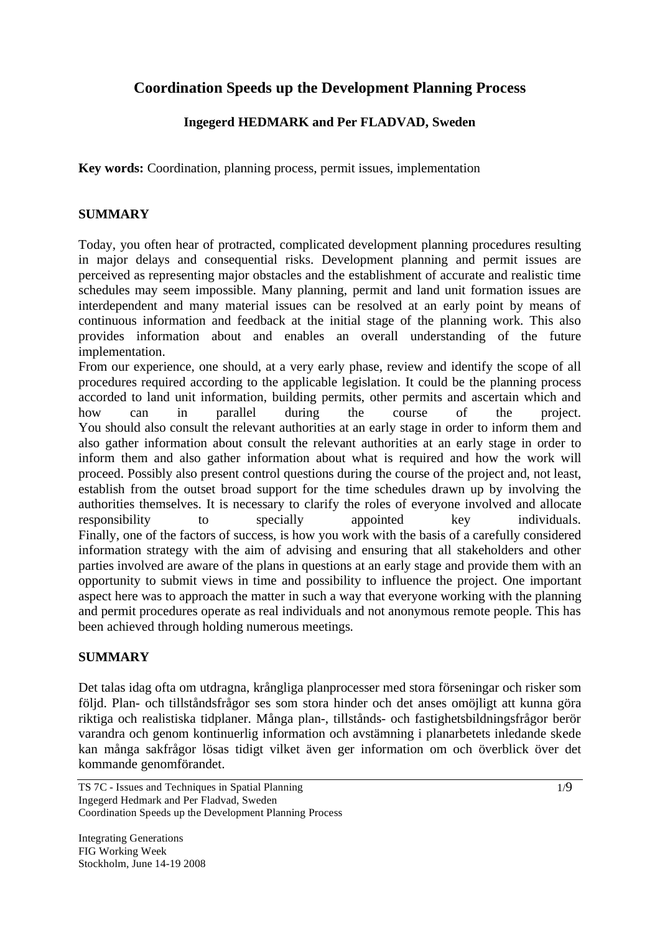# **Coordination Speeds up the Development Planning Process**

# **Ingegerd HEDMARK and Per FLADVAD, Sweden**

**Key words:** Coordination, planning process, permit issues, implementation

## **SUMMARY**

Today, you often hear of protracted, complicated development planning procedures resulting in major delays and consequential risks. Development planning and permit issues are perceived as representing major obstacles and the establishment of accurate and realistic time schedules may seem impossible. Many planning, permit and land unit formation issues are interdependent and many material issues can be resolved at an early point by means of continuous information and feedback at the initial stage of the planning work. This also provides information about and enables an overall understanding of the future implementation.

From our experience, one should, at a very early phase, review and identify the scope of all procedures required according to the applicable legislation. It could be the planning process accorded to land unit information, building permits, other permits and ascertain which and how can in parallel during the course of the project. You should also consult the relevant authorities at an early stage in order to inform them and also gather information about consult the relevant authorities at an early stage in order to inform them and also gather information about what is required and how the work will proceed. Possibly also present control questions during the course of the project and, not least, establish from the outset broad support for the time schedules drawn up by involving the authorities themselves. It is necessary to clarify the roles of everyone involved and allocate responsibility to specially appointed key individuals. Finally, one of the factors of success, is how you work with the basis of a carefully considered information strategy with the aim of advising and ensuring that all stakeholders and other parties involved are aware of the plans in questions at an early stage and provide them with an opportunity to submit views in time and possibility to influence the project. One important aspect here was to approach the matter in such a way that everyone working with the planning and permit procedures operate as real individuals and not anonymous remote people. This has been achieved through holding numerous meetings.

#### **SUMMARY**

Det talas idag ofta om utdragna, krångliga planprocesser med stora förseningar och risker som följd. Plan- och tillståndsfrågor ses som stora hinder och det anses omöjligt att kunna göra riktiga och realistiska tidplaner. Många plan-, tillstånds- och fastighetsbildningsfrågor berör varandra och genom kontinuerlig information och avstämning i planarbetets inledande skede kan många sakfrågor lösas tidigt vilket även ger information om och överblick över det kommande genomförandet.

TS 7C - Issues and Techniques in Spatial Planning Ingegerd Hedmark and Per Fladvad, Sweden Coordination Speeds up the Development Planning Process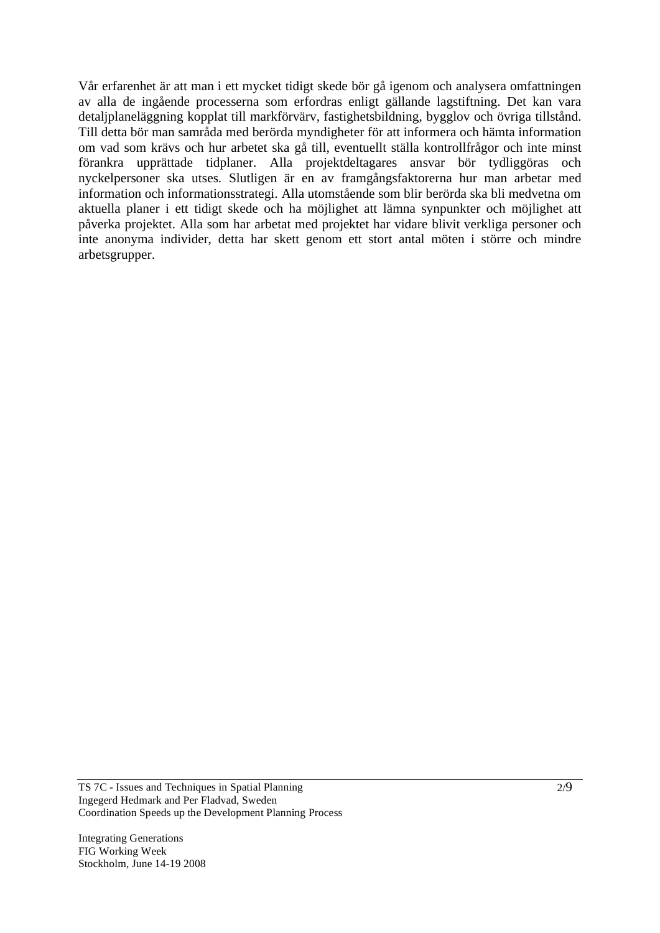Vår erfarenhet är att man i ett mycket tidigt skede bör gå igenom och analysera omfattningen av alla de ingående processerna som erfordras enligt gällande lagstiftning. Det kan vara detaljplaneläggning kopplat till markförvärv, fastighetsbildning, bygglov och övriga tillstånd. Till detta bör man samråda med berörda myndigheter för att informera och hämta information om vad som krävs och hur arbetet ska gå till, eventuellt ställa kontrollfrågor och inte minst förankra upprättade tidplaner. Alla projektdeltagares ansvar bör tydliggöras och nyckelpersoner ska utses. Slutligen är en av framgångsfaktorerna hur man arbetar med information och informationsstrategi. Alla utomstående som blir berörda ska bli medvetna om aktuella planer i ett tidigt skede och ha möjlighet att lämna synpunkter och möjlighet att påverka projektet. Alla som har arbetat med projektet har vidare blivit verkliga personer och inte anonyma individer, detta har skett genom ett stort antal möten i större och mindre arbetsgrupper.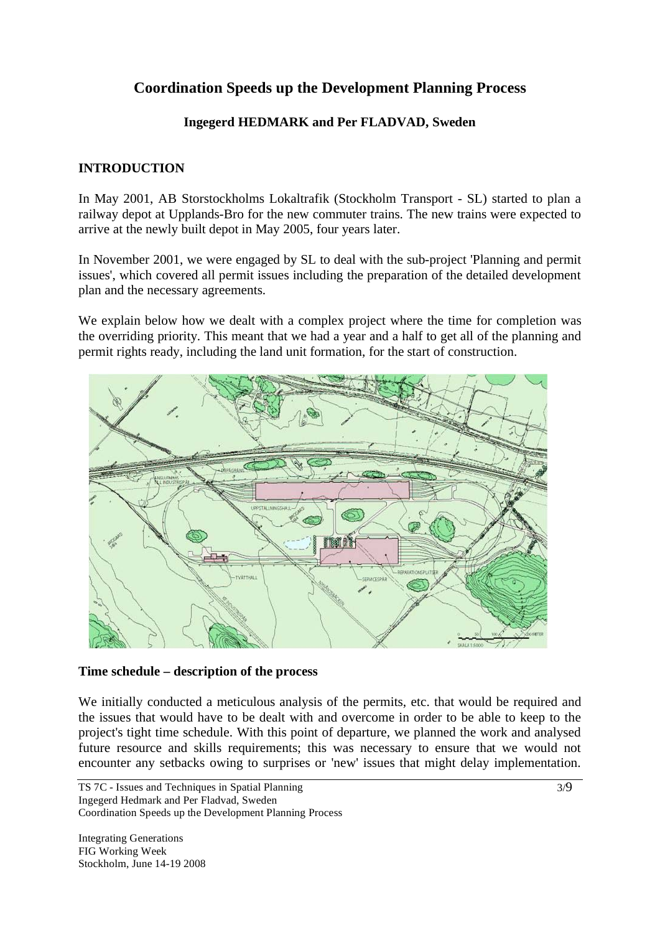# **Coordination Speeds up the Development Planning Process**

## **Ingegerd HEDMARK and Per FLADVAD, Sweden**

## **INTRODUCTION**

In May 2001, AB Storstockholms Lokaltrafik (Stockholm Transport - SL) started to plan a railway depot at Upplands-Bro for the new commuter trains. The new trains were expected to arrive at the newly built depot in May 2005, four years later.

In November 2001, we were engaged by SL to deal with the sub-project 'Planning and permit issues', which covered all permit issues including the preparation of the detailed development plan and the necessary agreements.

We explain below how we dealt with a complex project where the time for completion was the overriding priority. This meant that we had a year and a half to get all of the planning and permit rights ready, including the land unit formation, for the start of construction.



#### **Time schedule – description of the process**

We initially conducted a meticulous analysis of the permits, etc. that would be required and the issues that would have to be dealt with and overcome in order to be able to keep to the project's tight time schedule. With this point of departure, we planned the work and analysed future resource and skills requirements; this was necessary to ensure that we would not encounter any setbacks owing to surprises or 'new' issues that might delay implementation.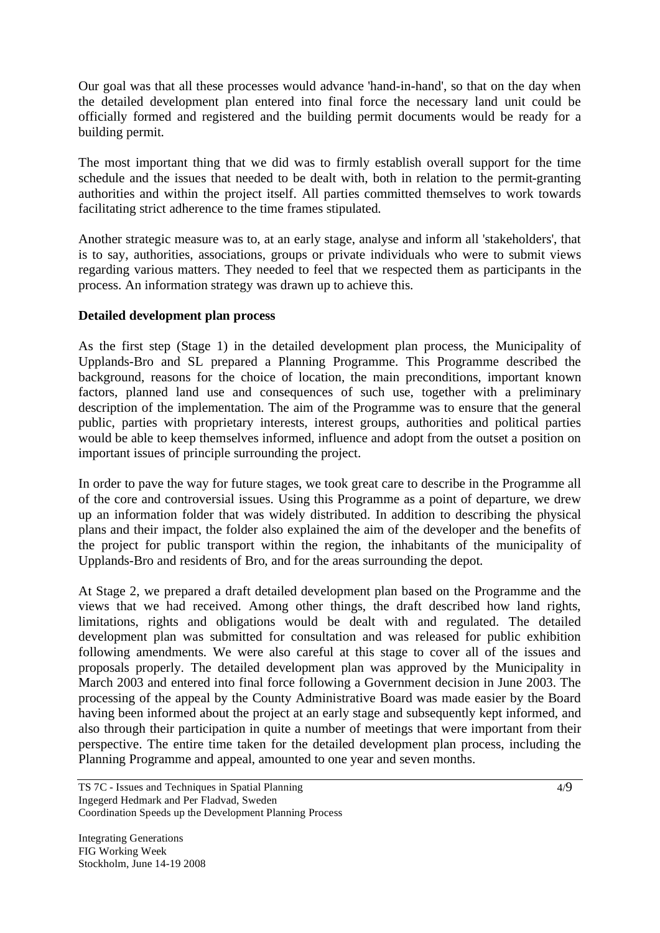Our goal was that all these processes would advance 'hand-in-hand', so that on the day when the detailed development plan entered into final force the necessary land unit could be officially formed and registered and the building permit documents would be ready for a building permit.

The most important thing that we did was to firmly establish overall support for the time schedule and the issues that needed to be dealt with, both in relation to the permit-granting authorities and within the project itself. All parties committed themselves to work towards facilitating strict adherence to the time frames stipulated.

Another strategic measure was to, at an early stage, analyse and inform all 'stakeholders', that is to say, authorities, associations, groups or private individuals who were to submit views regarding various matters. They needed to feel that we respected them as participants in the process. An information strategy was drawn up to achieve this.

### **Detailed development plan process**

As the first step (Stage 1) in the detailed development plan process, the Municipality of Upplands-Bro and SL prepared a Planning Programme. This Programme described the background, reasons for the choice of location, the main preconditions, important known factors, planned land use and consequences of such use, together with a preliminary description of the implementation. The aim of the Programme was to ensure that the general public, parties with proprietary interests, interest groups, authorities and political parties would be able to keep themselves informed, influence and adopt from the outset a position on important issues of principle surrounding the project.

In order to pave the way for future stages, we took great care to describe in the Programme all of the core and controversial issues. Using this Programme as a point of departure, we drew up an information folder that was widely distributed. In addition to describing the physical plans and their impact, the folder also explained the aim of the developer and the benefits of the project for public transport within the region, the inhabitants of the municipality of Upplands-Bro and residents of Bro, and for the areas surrounding the depot.

At Stage 2, we prepared a draft detailed development plan based on the Programme and the views that we had received. Among other things, the draft described how land rights, limitations, rights and obligations would be dealt with and regulated. The detailed development plan was submitted for consultation and was released for public exhibition following amendments. We were also careful at this stage to cover all of the issues and proposals properly. The detailed development plan was approved by the Municipality in March 2003 and entered into final force following a Government decision in June 2003. The processing of the appeal by the County Administrative Board was made easier by the Board having been informed about the project at an early stage and subsequently kept informed, and also through their participation in quite a number of meetings that were important from their perspective. The entire time taken for the detailed development plan process, including the Planning Programme and appeal, amounted to one year and seven months.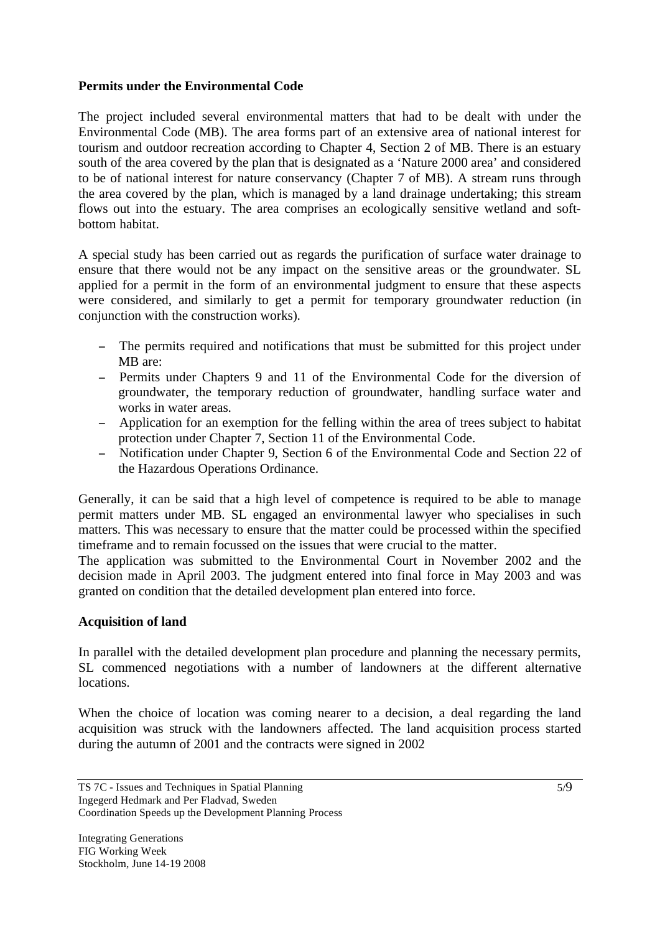## **Permits under the Environmental Code**

The project included several environmental matters that had to be dealt with under the Environmental Code (MB). The area forms part of an extensive area of national interest for tourism and outdoor recreation according to Chapter 4, Section 2 of MB. There is an estuary south of the area covered by the plan that is designated as a 'Nature 2000 area' and considered to be of national interest for nature conservancy (Chapter 7 of MB). A stream runs through the area covered by the plan, which is managed by a land drainage undertaking; this stream flows out into the estuary. The area comprises an ecologically sensitive wetland and softbottom habitat.

A special study has been carried out as regards the purification of surface water drainage to ensure that there would not be any impact on the sensitive areas or the groundwater. SL applied for a permit in the form of an environmental judgment to ensure that these aspects were considered, and similarly to get a permit for temporary groundwater reduction (in conjunction with the construction works).

- The permits required and notifications that must be submitted for this project under MB are:
- Permits under Chapters 9 and 11 of the Environmental Code for the diversion of groundwater, the temporary reduction of groundwater, handling surface water and works in water areas.
- Application for an exemption for the felling within the area of trees subject to habitat protection under Chapter 7, Section 11 of the Environmental Code.
- Notification under Chapter 9, Section 6 of the Environmental Code and Section 22 of the Hazardous Operations Ordinance.

Generally, it can be said that a high level of competence is required to be able to manage permit matters under MB. SL engaged an environmental lawyer who specialises in such matters. This was necessary to ensure that the matter could be processed within the specified timeframe and to remain focussed on the issues that were crucial to the matter.

The application was submitted to the Environmental Court in November 2002 and the decision made in April 2003. The judgment entered into final force in May 2003 and was granted on condition that the detailed development plan entered into force.

## **Acquisition of land**

In parallel with the detailed development plan procedure and planning the necessary permits, SL commenced negotiations with a number of landowners at the different alternative locations.

When the choice of location was coming nearer to a decision, a deal regarding the land acquisition was struck with the landowners affected. The land acquisition process started during the autumn of 2001 and the contracts were signed in 2002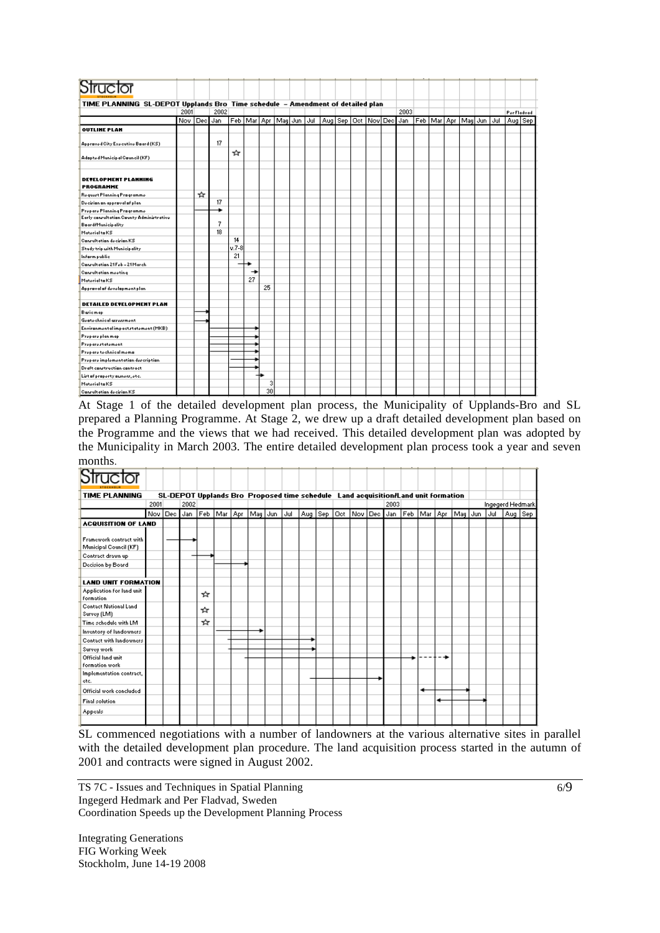| Structor                                                                       |          |   |      |         |                            |    |  |     |  |  |                           |  |      |  |                            |     |         |            |
|--------------------------------------------------------------------------------|----------|---|------|---------|----------------------------|----|--|-----|--|--|---------------------------|--|------|--|----------------------------|-----|---------|------------|
| TIME PLANNING SL-DEPOT Upplands Bro Time schedule - Amendment of detailed plan |          |   |      |         |                            |    |  |     |  |  |                           |  |      |  |                            |     |         |            |
|                                                                                | 2001     |   | 2002 |         |                            |    |  |     |  |  |                           |  | 2003 |  |                            |     |         | PorFladvad |
|                                                                                | Nov IDec |   | Jan  |         | Feb   Mar   Apr   May  Jun |    |  | Jul |  |  | Aug Sep   Oct   Nov   Dec |  | Jan  |  | Feb   Mar   Apr   May  Jun | Jul | Aug Sep |            |
| <b>OUTLINE PLAN</b>                                                            |          |   |      |         |                            |    |  |     |  |  |                           |  |      |  |                            |     |         |            |
| Approved City Executive Board (KS)                                             |          |   | 17   |         |                            |    |  |     |  |  |                           |  |      |  |                            |     |         |            |
| Adapted Municipal Cauncil (KF)                                                 |          |   |      | ∗       |                            |    |  |     |  |  |                           |  |      |  |                            |     |         |            |
| <b>DETELOPMENT PLANNING</b><br><b>PROGRAMME</b>                                |          |   |      |         |                            |    |  |     |  |  |                           |  |      |  |                            |     |         |            |
| Request Planning Pragramme                                                     |          | ☆ |      |         |                            |    |  |     |  |  |                           |  |      |  |                            |     |         |            |
| Decirion on approval of plan-                                                  |          |   | 17   |         |                            |    |  |     |  |  |                           |  |      |  |                            |     |         |            |
| Proparo Planning Pragrammo                                                     |          |   |      |         |                            |    |  |     |  |  |                           |  |      |  |                            |     |         |            |
| Early conrultation County Administrative                                       |          |   | 7    |         |                            |    |  |     |  |  |                           |  |      |  |                            |     |         |            |
| Board/Municipality<br>Material to KS                                           |          |   | 18   |         |                            |    |  |     |  |  |                           |  |      |  |                            |     |         |            |
| Conrultation decirion KS                                                       |          |   |      | 14      |                            |    |  |     |  |  |                           |  |      |  |                            |     |         |            |
| Study trip with Municipality                                                   |          |   |      | $V.7-8$ |                            |    |  |     |  |  |                           |  |      |  |                            |     |         |            |
| Inform public                                                                  |          |   |      | 21      |                            |    |  |     |  |  |                           |  |      |  |                            |     |         |            |
| Canrultation 21 Feb - 21 March                                                 |          |   |      |         |                            |    |  |     |  |  |                           |  |      |  |                            |     |         |            |
| Conrultation meeting                                                           |          |   |      |         | ٠                          |    |  |     |  |  |                           |  |      |  |                            |     |         |            |
| Material to KS                                                                 |          |   |      |         | 27                         |    |  |     |  |  |                           |  |      |  |                            |     |         |            |
| Approval of development plan                                                   |          |   |      |         |                            | 25 |  |     |  |  |                           |  |      |  |                            |     |         |            |
|                                                                                |          |   |      |         |                            |    |  |     |  |  |                           |  |      |  |                            |     |         |            |
| DETAILED DETELOPMENT PLAN                                                      |          |   |      |         |                            |    |  |     |  |  |                           |  |      |  |                            |     |         |            |
| Baricmap                                                                       |          |   |      |         |                            |    |  |     |  |  |                           |  |      |  |                            |     |         |            |
| Gentechnical arresrment                                                        |          |   |      |         |                            |    |  |     |  |  |                           |  |      |  |                            |     |         |            |
| Environmental impactstatement (MKB)                                            |          |   |      |         |                            |    |  |     |  |  |                           |  |      |  |                            |     |         |            |
| Proparo plan map                                                               |          |   |      |         |                            |    |  |     |  |  |                           |  |      |  |                            |     |         |            |
| Proparostatomont                                                               |          |   |      |         |                            |    |  |     |  |  |                           |  |      |  |                            |     |         |            |
| Propero to chnical mome                                                        |          |   |      |         |                            |    |  |     |  |  |                           |  |      |  |                            |     |         |            |
| Proparo implomontation description                                             |          |   |      |         |                            |    |  |     |  |  |                           |  |      |  |                            |     |         |            |
| Draft construction contract                                                    |          |   |      |         |                            |    |  |     |  |  |                           |  |      |  |                            |     |         |            |
| List of property ouners, etc.                                                  |          |   |      |         |                            |    |  |     |  |  |                           |  |      |  |                            |     |         |            |
| Material to KS                                                                 |          |   |      |         |                            | 3  |  |     |  |  |                           |  |      |  |                            |     |         |            |
| Conrultation decirion KS                                                       |          |   |      |         |                            | 30 |  |     |  |  |                           |  |      |  |                            |     |         |            |

At Stage 1 of the detailed development plan process, the Municipality of Upplands-Bro and SL prepared a Planning Programme. At Stage 2, we drew up a draft detailed development plan based on the Programme and the views that we had received. This detailed development plan was adopted by the Municipality in March 2003. The entire detailed development plan process took a year and seven months.

| Structor                                    |      |             |      |                 |  |                                                                                   |     |           |        |         |         |     |                 |     |                  |  |
|---------------------------------------------|------|-------------|------|-----------------|--|-----------------------------------------------------------------------------------|-----|-----------|--------|---------|---------|-----|-----------------|-----|------------------|--|
| <b>TIME PLANNING</b>                        |      |             |      |                 |  | SL-DEPOT Upplands Bro Proposed time schedule Land acquisition/Land unit formation |     |           |        |         |         |     |                 |     |                  |  |
|                                             | 2001 |             | 2002 |                 |  |                                                                                   |     |           |        |         | 2003    |     |                 |     | Ingegerd Hedmark |  |
|                                             |      | Nov Dec Jan |      | Feb   Mar   Apr |  | May Jun                                                                           | Jul | Aug   Sep | ∣Oet i | Nov Dec | Jan Feb | Mar | Apr   May   Jun | Jul | Aug   Sep        |  |
| <b>ACQUISITION OF LAND</b>                  |      |             |      |                 |  |                                                                                   |     |           |        |         |         |     |                 |     |                  |  |
|                                             |      |             |      |                 |  |                                                                                   |     |           |        |         |         |     |                 |     |                  |  |
| Framework contract with                     |      |             |      |                 |  |                                                                                   |     |           |        |         |         |     |                 |     |                  |  |
| Municipal Council (KF)                      |      |             |      |                 |  |                                                                                   |     |           |        |         |         |     |                 |     |                  |  |
| Contract drawn up                           |      |             |      |                 |  |                                                                                   |     |           |        |         |         |     |                 |     |                  |  |
| Decision by Board                           |      |             |      |                 |  |                                                                                   |     |           |        |         |         |     |                 |     |                  |  |
|                                             |      |             |      |                 |  |                                                                                   |     |           |        |         |         |     |                 |     |                  |  |
| <b>LAND UNIT FORMATION</b>                  |      |             |      |                 |  |                                                                                   |     |           |        |         |         |     |                 |     |                  |  |
| Application for land unit<br>formation      |      |             |      | ∗               |  |                                                                                   |     |           |        |         |         |     |                 |     |                  |  |
| <b>Contact National Land</b><br>Survey (LM) |      |             |      | ∗               |  |                                                                                   |     |           |        |         |         |     |                 |     |                  |  |
| Time schedule with LM                       |      |             |      | ∗               |  |                                                                                   |     |           |        |         |         |     |                 |     |                  |  |
| Inventory of landowners                     |      |             |      |                 |  |                                                                                   |     |           |        |         |         |     |                 |     |                  |  |
| Contact with landowners                     |      |             |      |                 |  |                                                                                   |     |           |        |         |         |     |                 |     |                  |  |
| Survey work                                 |      |             |      |                 |  |                                                                                   |     |           |        |         |         |     |                 |     |                  |  |
| Official land unit                          |      |             |      |                 |  |                                                                                   |     |           |        |         |         |     |                 |     |                  |  |
| formation work                              |      |             |      |                 |  |                                                                                   |     |           |        |         |         |     |                 |     |                  |  |
| Implementation contract,                    |      |             |      |                 |  |                                                                                   |     |           |        |         |         |     |                 |     |                  |  |
| etc.                                        |      |             |      |                 |  |                                                                                   |     |           |        |         |         |     |                 |     |                  |  |
| Official work concluded                     |      |             |      |                 |  |                                                                                   |     |           |        |         |         | ۰   |                 |     |                  |  |
| <b>Final solution</b>                       |      |             |      |                 |  |                                                                                   |     |           |        |         |         |     |                 |     |                  |  |
| Appeals                                     |      |             |      |                 |  |                                                                                   |     |           |        |         |         |     |                 |     |                  |  |
|                                             |      |             |      |                 |  |                                                                                   |     |           |        |         |         |     |                 |     |                  |  |

SL commenced negotiations with a number of landowners at the various alternative sites in parallel with the detailed development plan procedure. The land acquisition process started in the autumn of 2001 and contracts were signed in August 2002.

TS 7C - Issues and Techniques in Spatial Planning Ingegerd Hedmark and Per Fladvad, Sweden Coordination Speeds up the Development Planning Process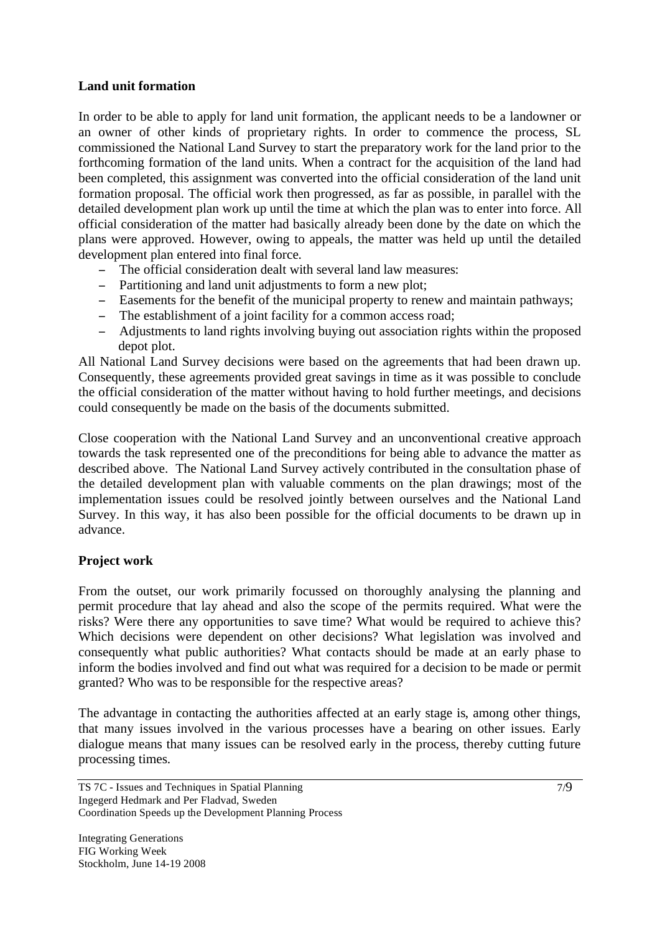## **Land unit formation**

In order to be able to apply for land unit formation, the applicant needs to be a landowner or an owner of other kinds of proprietary rights. In order to commence the process, SL commissioned the National Land Survey to start the preparatory work for the land prior to the forthcoming formation of the land units. When a contract for the acquisition of the land had been completed, this assignment was converted into the official consideration of the land unit formation proposal. The official work then progressed, as far as possible, in parallel with the detailed development plan work up until the time at which the plan was to enter into force. All official consideration of the matter had basically already been done by the date on which the plans were approved. However, owing to appeals, the matter was held up until the detailed development plan entered into final force.

- The official consideration dealt with several land law measures:
- Partitioning and land unit adjustments to form a new plot;
- Easements for the benefit of the municipal property to renew and maintain pathways;
- The establishment of a joint facility for a common access road;
- Adjustments to land rights involving buying out association rights within the proposed depot plot.

All National Land Survey decisions were based on the agreements that had been drawn up. Consequently, these agreements provided great savings in time as it was possible to conclude the official consideration of the matter without having to hold further meetings, and decisions could consequently be made on the basis of the documents submitted.

Close cooperation with the National Land Survey and an unconventional creative approach towards the task represented one of the preconditions for being able to advance the matter as described above. The National Land Survey actively contributed in the consultation phase of the detailed development plan with valuable comments on the plan drawings; most of the implementation issues could be resolved jointly between ourselves and the National Land Survey. In this way, it has also been possible for the official documents to be drawn up in advance.

#### **Project work**

From the outset, our work primarily focussed on thoroughly analysing the planning and permit procedure that lay ahead and also the scope of the permits required. What were the risks? Were there any opportunities to save time? What would be required to achieve this? Which decisions were dependent on other decisions? What legislation was involved and consequently what public authorities? What contacts should be made at an early phase to inform the bodies involved and find out what was required for a decision to be made or permit granted? Who was to be responsible for the respective areas?

The advantage in contacting the authorities affected at an early stage is, among other things, that many issues involved in the various processes have a bearing on other issues. Early dialogue means that many issues can be resolved early in the process, thereby cutting future processing times.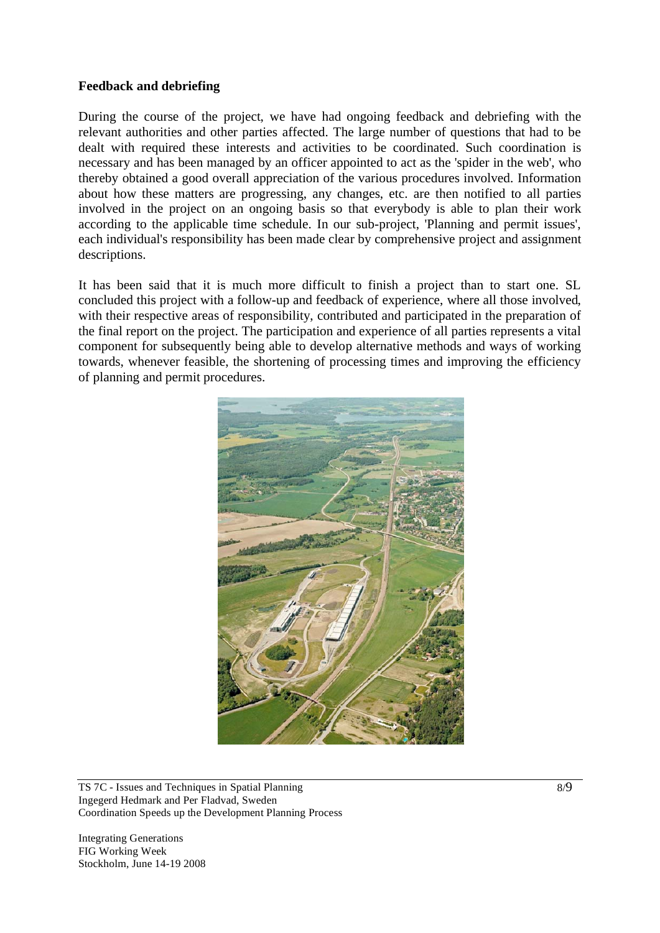## **Feedback and debriefing**

During the course of the project, we have had ongoing feedback and debriefing with the relevant authorities and other parties affected. The large number of questions that had to be dealt with required these interests and activities to be coordinated. Such coordination is necessary and has been managed by an officer appointed to act as the 'spider in the web', who thereby obtained a good overall appreciation of the various procedures involved. Information about how these matters are progressing, any changes, etc. are then notified to all parties involved in the project on an ongoing basis so that everybody is able to plan their work according to the applicable time schedule. In our sub-project, 'Planning and permit issues', each individual's responsibility has been made clear by comprehensive project and assignment descriptions.

It has been said that it is much more difficult to finish a project than to start one. SL concluded this project with a follow-up and feedback of experience, where all those involved, with their respective areas of responsibility, contributed and participated in the preparation of the final report on the project. The participation and experience of all parties represents a vital component for subsequently being able to develop alternative methods and ways of working towards, whenever feasible, the shortening of processing times and improving the efficiency of planning and permit procedures.



TS 7C - Issues and Techniques in Spatial Planning Ingegerd Hedmark and Per Fladvad, Sweden Coordination Speeds up the Development Planning Process